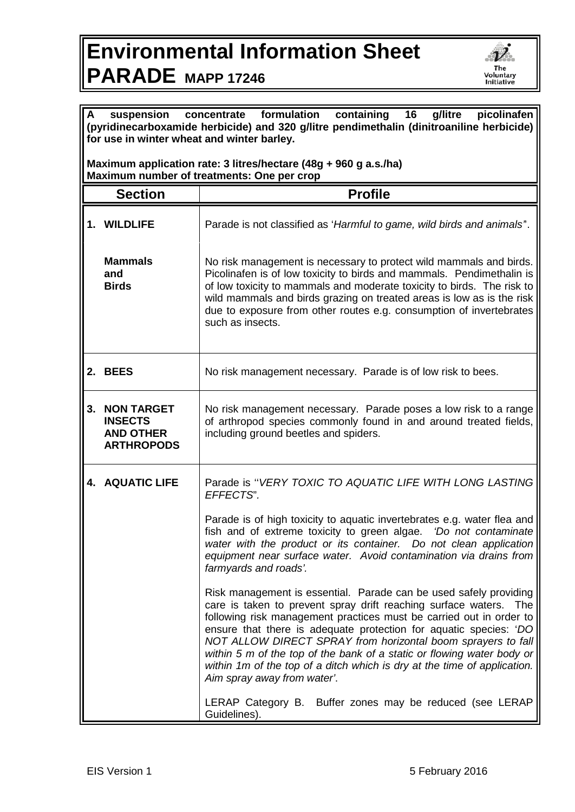## **Environmental Information Sheet PARADE MAPP 17246**



| formulation<br>16<br>containing<br>g/litre<br>picolinafen<br>suspension<br>concentrate<br>A<br>(pyridinecarboxamide herbicide) and 320 g/litre pendimethalin (dinitroaniline herbicide)<br>for use in winter wheat and winter barley. |                                                                              |                                                                                                                                                                                                                                                                                                                                                                                                                                                                                                                                            |  |
|---------------------------------------------------------------------------------------------------------------------------------------------------------------------------------------------------------------------------------------|------------------------------------------------------------------------------|--------------------------------------------------------------------------------------------------------------------------------------------------------------------------------------------------------------------------------------------------------------------------------------------------------------------------------------------------------------------------------------------------------------------------------------------------------------------------------------------------------------------------------------------|--|
| Maximum application rate: 3 litres/hectare (48g + 960 g a.s./ha)<br>Maximum number of treatments: One per crop                                                                                                                        |                                                                              |                                                                                                                                                                                                                                                                                                                                                                                                                                                                                                                                            |  |
|                                                                                                                                                                                                                                       | <b>Section</b>                                                               | <b>Profile</b>                                                                                                                                                                                                                                                                                                                                                                                                                                                                                                                             |  |
|                                                                                                                                                                                                                                       | 1. WILDLIFE                                                                  | Parade is not classified as 'Harmful to game, wild birds and animals'.                                                                                                                                                                                                                                                                                                                                                                                                                                                                     |  |
|                                                                                                                                                                                                                                       | <b>Mammals</b><br>and<br><b>Birds</b>                                        | No risk management is necessary to protect wild mammals and birds.<br>Picolinafen is of low toxicity to birds and mammals. Pendimethalin is<br>of low toxicity to mammals and moderate toxicity to birds. The risk to<br>wild mammals and birds grazing on treated areas is low as is the risk<br>due to exposure from other routes e.g. consumption of invertebrates<br>such as insects.                                                                                                                                                  |  |
| 2.                                                                                                                                                                                                                                    | <b>BEES</b>                                                                  | No risk management necessary. Parade is of low risk to bees.                                                                                                                                                                                                                                                                                                                                                                                                                                                                               |  |
| 3.                                                                                                                                                                                                                                    | <b>NON TARGET</b><br><b>INSECTS</b><br><b>AND OTHER</b><br><b>ARTHROPODS</b> | No risk management necessary. Parade poses a low risk to a range<br>of arthropod species commonly found in and around treated fields,<br>including ground beetles and spiders.                                                                                                                                                                                                                                                                                                                                                             |  |
|                                                                                                                                                                                                                                       | 4. AQUATIC LIFE                                                              | Parade is "VERY TOXIC TO AQUATIC LIFE WITH LONG LASTING<br>EFFECTS".                                                                                                                                                                                                                                                                                                                                                                                                                                                                       |  |
|                                                                                                                                                                                                                                       |                                                                              | Parade is of high toxicity to aquatic invertebrates e.g. water flea and<br>fish and of extreme toxicity to green algae. 'Do not contaminate<br>water with the product or its container. Do not clean application<br>equipment near surface water. Avoid contamination via drains from<br>farmyards and roads'.                                                                                                                                                                                                                             |  |
|                                                                                                                                                                                                                                       |                                                                              | Risk management is essential. Parade can be used safely providing<br>care is taken to prevent spray drift reaching surface waters.<br>The<br>following risk management practices must be carried out in order to<br>ensure that there is adequate protection for aquatic species: 'DO<br>NOT ALLOW DIRECT SPRAY from horizontal boom sprayers to fall<br>within 5 m of the top of the bank of a static or flowing water body or<br>within 1m of the top of a ditch which is dry at the time of application.<br>Aim spray away from water'. |  |
|                                                                                                                                                                                                                                       |                                                                              | LERAP Category B. Buffer zones may be reduced (see LERAP<br>Guidelines).                                                                                                                                                                                                                                                                                                                                                                                                                                                                   |  |